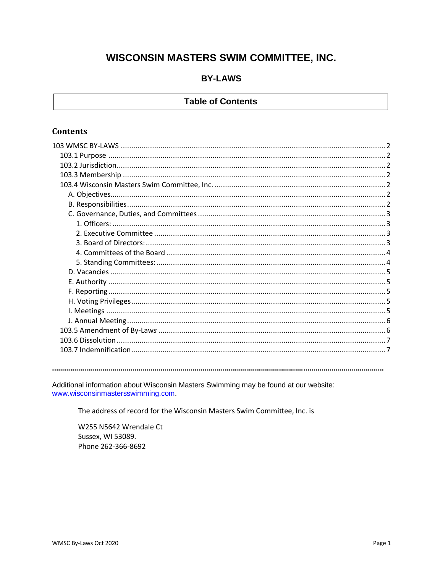# WISCONSIN MASTERS SWIM COMMITTEE, INC.

# **BY-LAWS**

# **Table of Contents**

# **Contents**

Additional information about Wisconsin Masters Swimming may be found at our website: www.wisconsinmastersswimming.com.

The address of record for the Wisconsin Masters Swim Committee, Inc. is

W255 N5642 Wrendale Ct Sussex, WI 53089. Phone 262-366-8692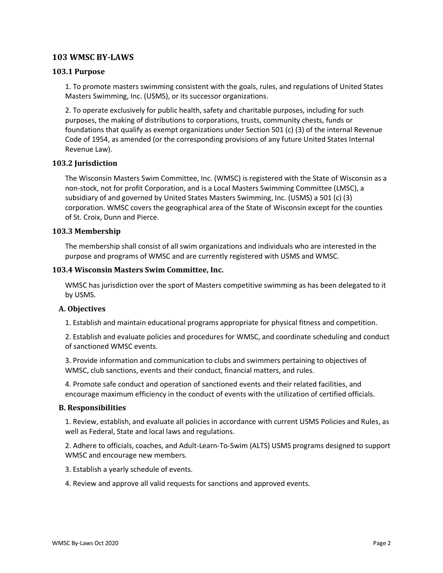# <span id="page-1-0"></span>**103 WMSC BY-LAWS**

# <span id="page-1-1"></span>**103.1 Purpose**

1. To promote masters swimming consistent with the goals, rules, and regulations of United States Masters Swimming, Inc. (USMS), or its successor organizations.

2. To operate exclusively for public health, safety and charitable purposes, including for such purposes, the making of distributions to corporations, trusts, community chests, funds or foundations that qualify as exempt organizations under Section 501 (c) (3) of the internal Revenue Code of 1954, as amended (or the corresponding provisions of any future United States Internal Revenue Law).

## <span id="page-1-2"></span>**103.2 Jurisdiction**

The Wisconsin Masters Swim Committee, Inc. (WMSC) is registered with the State of Wisconsin as a non-stock, not for profit Corporation, and is a Local Masters Swimming Committee (LMSC), a subsidiary of and governed by United States Masters Swimming, Inc. (USMS) a 501 (c) (3) corporation. WMSC covers the geographical area of the State of Wisconsin except for the counties of St. Croix, Dunn and Pierce.

## <span id="page-1-3"></span>**103.3 Membership**

The membership shall consist of all swim organizations and individuals who are interested in the purpose and programs of WMSC and are currently registered with USMS and WMSC.

## <span id="page-1-4"></span>**103.4 Wisconsin Masters Swim Committee, Inc.**

WMSC has jurisdiction over the sport of Masters competitive swimming as has been delegated to it by USMS.

#### <span id="page-1-5"></span>**A. Objectives**

1. Establish and maintain educational programs appropriate for physical fitness and competition.

2. Establish and evaluate policies and procedures for WMSC, and coordinate scheduling and conduct of sanctioned WMSC events.

3. Provide information and communication to clubs and swimmers pertaining to objectives of WMSC, club sanctions, events and their conduct, financial matters, and rules.

4. Promote safe conduct and operation of sanctioned events and their related facilities, and encourage maximum efficiency in the conduct of events with the utilization of certified officials.

#### <span id="page-1-6"></span>**B. Responsibilities**

1. Review, establish, and evaluate all policies in accordance with current USMS Policies and Rules, as well as Federal, State and local laws and regulations.

2. Adhere to officials, coaches, and Adult-Learn-To-Swim (ALTS) USMS programs designed to support WMSC and encourage new members.

3. Establish a yearly schedule of events.

4. Review and approve all valid requests for sanctions and approved events.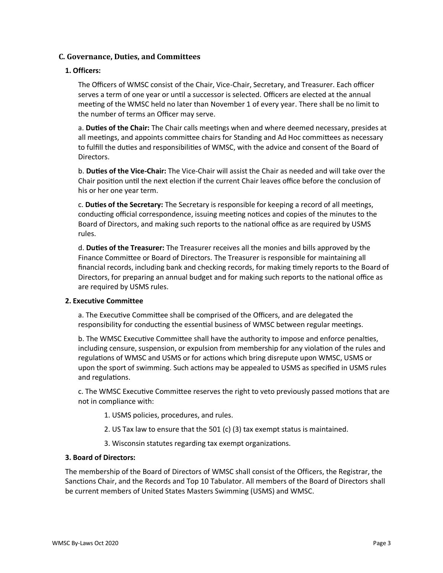# <span id="page-2-0"></span>**C. Governance, Duties, and Committees**

## <span id="page-2-1"></span>**1. Officers:**

The Officers of WMSC consist of the Chair, Vice-Chair, Secretary, and Treasurer. Each officer serves a term of one year or until a successor is selected. Officers are elected at the annual meeting of the WMSC held no later than November 1 of every year. There shall be no limit to the number of terms an Officer may serve.

a. **Duties of the Chair:** The Chair calls meetings when and where deemed necessary, presides at all meetings, and appoints committee chairs for Standing and Ad Hoc committees as necessary to fulfill the duties and responsibilities of WMSC, with the advice and consent of the Board of Directors.

b. **Duties of the Vice-Chair:** The Vice-Chair will assist the Chair as needed and will take over the Chair position until the next election if the current Chair leaves office before the conclusion of his or her one year term.

c. **Duties of the Secretary:** The Secretary is responsible for keeping a record of all meetings, conducting official correspondence, issuing meeting notices and copies of the minutes to the Board of Directors, and making such reports to the national office as are required by USMS rules.

d. **Duties of the Treasurer:** The Treasurer receives all the monies and bills approved by the Finance Committee or Board of Directors. The Treasurer is responsible for maintaining all financial records, including bank and checking records, for making timely reports to the Board of Directors, for preparing an annual budget and for making such reports to the national office as are required by USMS rules.

#### <span id="page-2-2"></span>**2. Executive Committee**

a. The Executive Committee shall be comprised of the Officers, and are delegated the responsibility for conducting the essential business of WMSC between regular meetings.

b. The WMSC Executive Committee shall have the authority to impose and enforce penalties, including censure, suspension, or expulsion from membership for any violation of the rules and regulations of WMSC and USMS or for actions which bring disrepute upon WMSC, USMS or upon the sport of swimming. Such actions may be appealed to USMS as specified in USMS rules and regulations.

c. The WMSC Executive Committee reserves the right to veto previously passed motions that are not in compliance with:

- 1. USMS policies, procedures, and rules.
- 2. US Tax law to ensure that the 501 (c) (3) tax exempt status is maintained.
- 3. Wisconsin statutes regarding tax exempt organizations.

#### <span id="page-2-3"></span>**3. Board of Directors:**

The membership of the Board of Directors of WMSC shall consist of the Officers, the Registrar, the Sanctions Chair, and the Records and Top 10 Tabulator. All members of the Board of Directors shall be current members of United States Masters Swimming (USMS) and WMSC.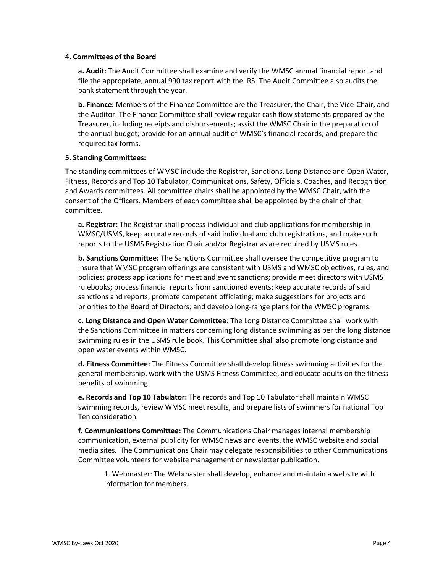#### <span id="page-3-0"></span>**4. Committees of the Board**

**a. Audit:** The Audit Committee shall examine and verify the WMSC annual financial report and file the appropriate, annual 990 tax report with the IRS. The Audit Committee also audits the bank statement through the year.

**b. Finance:** Members of the Finance Committee are the Treasurer, the Chair, the Vice-Chair, and the Auditor. The Finance Committee shall review regular cash flow statements prepared by the Treasurer, including receipts and disbursements; assist the WMSC Chair in the preparation of the annual budget; provide for an annual audit of WMSC's financial records; and prepare the required tax forms.

## <span id="page-3-1"></span>**5. Standing Committees:**

The standing committees of WMSC include the Registrar, Sanctions, Long Distance and Open Water, Fitness, Records and Top 10 Tabulator, Communications, Safety, Officials, Coaches, and Recognition and Awards committees. All committee chairs shall be appointed by the WMSC Chair, with the consent of the Officers. Members of each committee shall be appointed by the chair of that committee.

**a. Registrar:** The Registrar shall process individual and club applications for membership in WMSC/USMS, keep accurate records of said individual and club registrations, and make such reports to the USMS Registration Chair and/or Registrar as are required by USMS rules.

**b. Sanctions Committee:** The Sanctions Committee shall oversee the competitive program to insure that WMSC program offerings are consistent with USMS and WMSC objectives, rules, and policies; process applications for meet and event sanctions; provide meet directors with USMS rulebooks; process financial reports from sanctioned events; keep accurate records of said sanctions and reports; promote competent officiating; make suggestions for projects and priorities to the Board of Directors; and develop long-range plans for the WMSC programs.

**c. Long Distance and Open Water Committee**: The Long Distance Committee shall work with the Sanctions Committee in matters concerning long distance swimming as per the long distance swimming rules in the USMS rule book. This Committee shall also promote long distance and open water events within WMSC.

**d. Fitness Committee:** The Fitness Committee shall develop fitness swimming activities for the general membership, work with the USMS Fitness Committee, and educate adults on the fitness benefits of swimming.

**e. Records and Top 10 Tabulator:** The records and Top 10 Tabulator shall maintain WMSC swimming records, review WMSC meet results, and prepare lists of swimmers for national Top Ten consideration.

**f. Communications Committee:** The Communications Chair manages internal membership communication, external publicity for WMSC news and events, the WMSC website and social media sites. The Communications Chair may delegate responsibilities to other Communications Committee volunteers for website management or newsletter publication.

1. Webmaster: The Webmaster shall develop, enhance and maintain a website with information for members.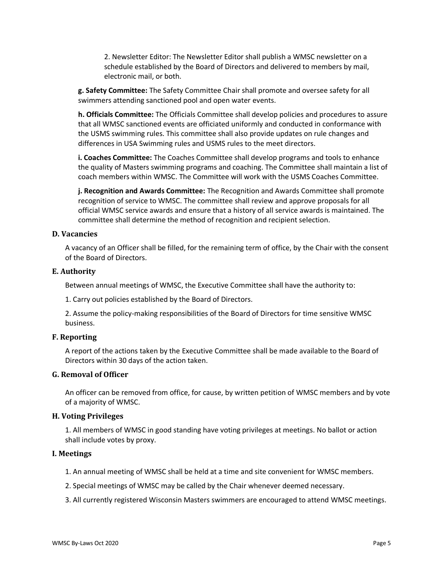2. Newsletter Editor: The Newsletter Editor shall publish a WMSC newsletter on a schedule established by the Board of Directors and delivered to members by mail, electronic mail, or both.

**g. Safety Committee:** The Safety Committee Chair shall promote and oversee safety for all swimmers attending sanctioned pool and open water events.

**h. Officials Committee:** The Officials Committee shall develop policies and procedures to assure that all WMSC sanctioned events are officiated uniformly and conducted in conformance with the USMS swimming rules. This committee shall also provide updates on rule changes and differences in USA Swimming rules and USMS rules to the meet directors.

**i. Coaches Committee:** The Coaches Committee shall develop programs and tools to enhance the quality of Masters swimming programs and coaching. The Committee shall maintain a list of coach members within WMSC. The Committee will work with the USMS Coaches Committee.

**j. Recognition and Awards Committee:** The Recognition and Awards Committee shall promote recognition of service to WMSC. The committee shall review and approve proposals for all official WMSC service awards and ensure that a history of all service awards is maintained. The committee shall determine the method of recognition and recipient selection.

#### <span id="page-4-0"></span>**D. Vacancies**

A vacancy of an Officer shall be filled, for the remaining term of office, by the Chair with the consent of the Board of Directors.

#### <span id="page-4-1"></span>**E. Authority**

Between annual meetings of WMSC, the Executive Committee shall have the authority to:

1. Carry out policies established by the Board of Directors.

2. Assume the policy-making responsibilities of the Board of Directors for time sensitive WMSC business.

#### <span id="page-4-2"></span>**F. Reporting**

A report of the actions taken by the Executive Committee shall be made available to the Board of Directors within 30 days of the action taken.

# **G. Removal of Officer**

An officer can be removed from office, for cause, by written petition of WMSC members and by vote of a majority of WMSC.

#### <span id="page-4-3"></span>**H. Voting Privileges**

1. All members of WMSC in good standing have voting privileges at meetings. No ballot or action shall include votes by proxy.

#### <span id="page-4-4"></span>**I. Meetings**

- 1. An annual meeting of WMSC shall be held at a time and site convenient for WMSC members.
- 2. Special meetings of WMSC may be called by the Chair whenever deemed necessary.
- 3. All currently registered Wisconsin Masters swimmers are encouraged to attend WMSC meetings.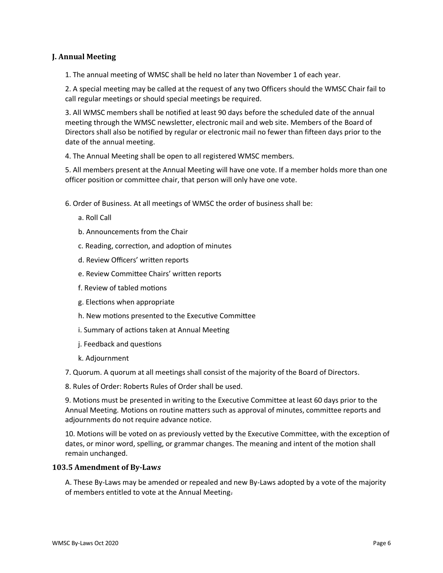# <span id="page-5-0"></span>**J. Annual Meeting**

1. The annual meeting of WMSC shall be held no later than November 1 of each year.

2. A special meeting may be called at the request of any two Officers should the WMSC Chair fail to call regular meetings or should special meetings be required.

3. All WMSC members shall be notified at least 90 days before the scheduled date of the annual meeting through the WMSC newsletter, electronic mail and web site. Members of the Board of Directors shall also be notified by regular or electronic mail no fewer than fifteen days prior to the date of the annual meeting.

4. The Annual Meeting shall be open to all registered WMSC members.

5. All members present at the Annual Meeting will have one vote. If a member holds more than one officer position or committee chair, that person will only have one vote.

- 6. Order of Business. At all meetings of WMSC the order of business shall be:
	- a. Roll Call
	- b. Announcements from the Chair
	- c. Reading, correction, and adoption of minutes
	- d. Review Officers' written reports
	- e. Review Committee Chairs' written reports
	- f. Review of tabled motions
	- g. Elections when appropriate
	- h. New motions presented to the Executive Committee
	- i. Summary of actions taken at Annual Meeting
	- j. Feedback and questions
	- k. Adjournment

7. Quorum. A quorum at all meetings shall consist of the majority of the Board of Directors.

8. Rules of Order: Roberts Rules of Order shall be used.

9. Motions must be presented in writing to the Executive Committee at least 60 days prior to the Annual Meeting. Motions on routine matters such as approval of minutes, committee reports and adjournments do not require advance notice.

10. Motions will be voted on as previously vetted by the Executive Committee, with the exception of dates, or minor word, spelling, or grammar changes. The meaning and intent of the motion shall remain unchanged.

#### <span id="page-5-1"></span>**103.5 Amendment of By-Law***s*

A. These By-Laws may be amended or repealed and new By-Laws adopted by a vote of the majority of members entitled to vote at the Annual Meeting.